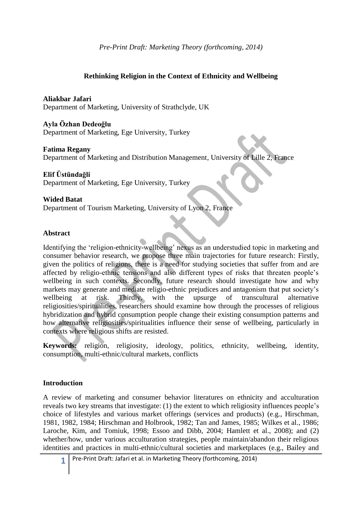## **Rethinking Religion in the Context of Ethnicity and Wellbeing**

**Aliakbar Jafari** Department of Marketing, University of Strathclyde, UK

**Ayla Özhan Dedeoğlu** Department of Marketing, Ege University, Turkey

### **Fatima Regany**

Department of Marketing and Distribution Management, University of Lille 2, France

### **Elif Üstündağli**

Department of Marketing, Ege University, Turkey

### **Wided Batat**

Department of Tourism Marketing, University of Lyon 2, France

### **Abstract**

Identifying the 'religion-ethnicity-wellbeing' nexus as an understudied topic in marketing and consumer behavior research, we propose three main trajectories for future research: Firstly, given the politics of religions, there is a need for studying societies that suffer from and are affected by religio-ethnic tensions and also different types of risks that threaten people's wellbeing in such contexts. Secondly, future research should investigate how and why markets may generate and mediate religio-ethnic prejudices and antagonism that put society's wellbeing at risk. Thirdly, with the upsurge of transcultural alternative religiosities/spiritualities, researchers should examine how through the processes of religious hybridization and hybrid consumption people change their existing consumption patterns and how alternative religiosities/spiritualities influence their sense of wellbeing, particularly in contexts where religious shifts are resisted.

**Keywords:** religion, religiosity, ideology, politics, ethnicity, wellbeing, identity, consumption, multi-ethnic/cultural markets, conflicts

#### **Introduction**

A review of marketing and consumer behavior literatures on ethnicity and acculturation reveals two key streams that investigate: (1) the extent to which religiosity influences people's choice of lifestyles and various market offerings (services and products) (e.g., Hirschman, 1981, 1982, 1984; Hirschman and Holbrook, 1982; Tan and James, 1985; Wilkes et al., 1986; Laroche, Kim, and Tomiuk, 1998; Essoo and Dibb, 2004; Hamlett et al., 2008); and (2) whether/how, under various acculturation strategies, people maintain/abandon their religious identities and practices in multi-ethnic/cultural societies and marketplaces (e.g., Bailey and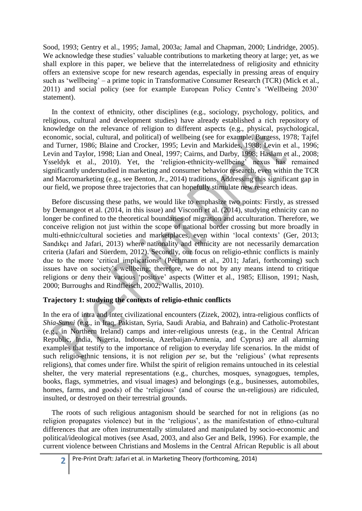Sood, 1993; Gentry et al., 1995; Jamal, 2003a; Jamal and Chapman, 2000; Lindridge, 2005). We acknowledge these studies' valuable contributions to marketing theory at large; yet, as we shall explore in this paper, we believe that the interrelatedness of religiosity and ethnicity offers an extensive scope for new research agendas, especially in pressing areas of enquiry such as 'wellbeing' – a prime topic in Transformative Consumer Research (TCR) (Mick et al., 2011) and social policy (see for example European Policy Centre's 'Wellbeing 2030' statement).

In the context of ethnicity, other disciplines (e.g., sociology, psychology, politics, and religious, cultural and development studies) have already established a rich repository of knowledge on the relevance of religion to different aspects (e.g., physical, psychological, economic, social, cultural, and political) of wellbeing (see for example, Burgess, 1978; Tajfel and Turner, 1986; Blaine and Crocker, 1995; Levin and Markides, 1988; Levin et al., 1996; Levin and Taylor, 1998; Lian and Oneal, 1997; Cairns, and Darby, 1998; Haslam et al., 2008; Ysseldyk et al., 2010). Yet, the 'religion-ethnicity-wellbeing' nexus has remained significantly understudied in marketing and consumer behavior research, even within the TCR and Macromarketing (e.g., see Benton, Jr., 2014) traditions. Addressing this significant gap in our field, we propose three trajectories that can hopefully stimulate new research ideas.

Before discussing these paths, we would like to emphasize two points: Firstly, as stressed by Demangeot et al. (2014, in this issue) and Visconti et al. (2014), studying ethnicity can no longer be confined to the theoretical boundaries of migration and acculturation. Therefore, we conceive religion not just within the scope of national border crossing but more broadly in multi-ethnic/cultural societies and marketplaces, even within 'local contexts' (Ger, 2013; Sandıkçı and Jafari, 2013) where nationality and ethnicity are not necessarily demarcation criteria (Jafari and Süerdem, 2012). Secondly, our focus on religio-ethnic conflicts is mainly due to the more 'critical implications' (Pechmann et al., 2011; Jafari, forthcoming) such issues have on society's wellbeing; therefore, we do not by any means intend to critique religions or deny their various 'positive' aspects (Witter et al., 1985; Ellison, 1991; Nash, 2000; Burroughs and Rindfleisch, 2002; Wallis, 2010).

# **Trajectory 1: studying the contexts of religio-ethnic conflicts**

In the era of intra and inter civilizational encounters (Zizek, 2002), intra-religious conflicts of *Shia*-*Sunni* (e.g., in Iraq, Pakistan, Syria, Saudi Arabia, and Bahrain) and Catholic-Protestant (e.g., in Northern Ireland) camps and inter-religious unrests (e.g., in the Central African Republic, India, Nigeria, Indonesia, Azerbaijan-Armenia, and Cyprus) are all alarming examples that testify to the importance of religion to everyday life scenarios. In the midst of such religio-ethnic tensions, it is not religion *per se*, but the 'religious' (what represents religions), that comes under fire. Whilst the spirit of religion remains untouched in its celestial shelter, the very material representations (e.g., churches, mosques, synagogues, temples, books, flags, symmetries, and visual images) and belongings (e.g., businesses, automobiles, homes, farms, and goods) of the 'religious' (and of course the un-religious) are ridiculed, insulted, or destroyed on their terrestrial grounds.

The roots of such religious antagonism should be searched for not in religions (as no religion propagates violence) but in the 'religious', as the manifestation of ethno-cultural differences that are often instrumentally stimulated and manipulated by socio-economic and political/ideological motives (see Asad, 2003, and also Ger and Belk, 1996). For example, the current violence between Christians and Moslems in the Central African Republic is all about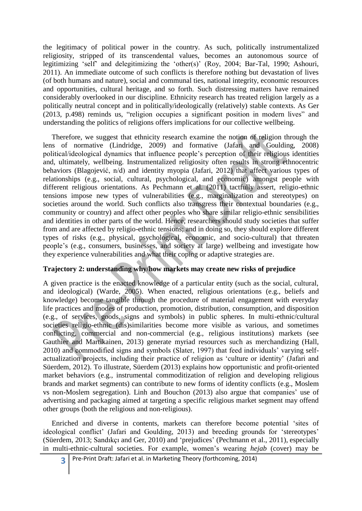the legitimacy of political power in the country. As such, politically instrumentalized religiosity, stripped of its transcendental values, becomes an autonomous source of legitimizing 'self' and delegitimizing the 'other(s)' (Roy, 2004; Bar-Tal, 1990; Ashouri, 2011). An immediate outcome of such conflicts is therefore nothing but devastation of lives (of both humans and nature), social and communal ties, national integrity, economic resources and opportunities, cultural heritage, and so forth. Such distressing matters have remained considerably overlooked in our discipline. Ethnicity research has treated religion largely as a politically neutral concept and in politically/ideologically (relatively) stable contexts. As Ger (2013, p.498) reminds us, "religion occupies a significant position in modern lives" and understanding the politics of religions offers implications for our collective wellbeing.

Therefore, we suggest that ethnicity research examine the notion of religion through the lens of normative (Lindridge, 2009) and formative (Jafari and Goulding, 2008) political/ideological dynamics that influence people's perception of their religious identities and, ultimately, wellbeing. Instrumentalized religiosity often results in strong ethnocentric behaviors (Blagojević, n/d) and identity myopia (Jafari, 2012) that affect various types of relationships (e.g., social, cultural, psychological, and economic) amongst people with different religious orientations. As Pechmann et al. (2011) tactfully assert, religio-ethnic tensions impose new types of vulnerabilities (e.g., marginalization and stereotypes) on societies around the world. Such conflicts also transgress their contextual boundaries (e.g., community or country) and affect other peoples who share similar religio-ethnic sensibilities and identities in other parts of the world. Hence, researchers should study societies that suffer from and are affected by religio-ethnic tensions; and in doing so, they should explore different types of risks (e.g., physical, psychological, economic, and socio-cultural) that threaten people's (e.g., consumers, businesses, and society at large) wellbeing and investigate how they experience vulnerabilities and what their coping or adaptive strategies are.

# **Trajectory 2: understanding why/how markets may create new risks of prejudice**

A given practice is the enacted knowledge of a particular entity (such as the social, cultural, and ideological) (Warde, 2005). When enacted, religious orientations (e.g., beliefs and knowledge) become tangible through the procedure of material engagement with everyday life practices and modes of production, promotion, distribution, consumption, and disposition (e.g., of services, goods, signs and symbols) in public spheres. In multi-ethnic/cultural societies religio-ethnic (dis)similarities become more visible as various, and sometimes conflicting, commercial and non-commercial (e.g., religious institutions) markets (see Gauthier and Martikainen, 2013) generate myriad resources such as merchandizing (Hall, 2010) and commodified signs and symbols (Slater, 1997) that feed individuals' varying selfactualization projects, including their practice of religion as 'culture or identity' (Jafari and Süerdem, 2012). To illustrate, Süerdem (2013) explains how opportunistic and profit-oriented market behaviors (e.g., instrumental commoditization of religion and developing religious brands and market segments) can contribute to new forms of identity conflicts (e.g., Moslem vs non-Moslem segregation). Linh and Bouchon (2013) also argue that companies' use of advertising and packaging aimed at targeting a specific religious market segment may offend other groups (both the religious and non-religious).

Enriched and diverse in contents, markets can therefore become potential 'sites of ideological conflict' (Jafari and Goulding, 2013) and breeding grounds for 'stereotypes' (Süerdem, 2013; Sandıkçı and Ger, 2010) and 'prejudices' (Pechmann et al., 2011), especially in multi-ethnic-cultural societies. For example, women's wearing *hejab* (cover) may be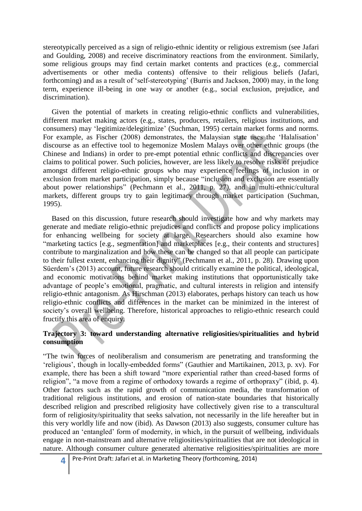stereotypically perceived as a sign of religio-ethnic identity or religious extremism (see Jafari and Goulding, 2008) and receive discriminatory reactions from the environment. Similarly, some religious groups may find certain market contents and practices (e.g., commercial advertisements or other media contents) offensive to their religious beliefs (Jafari, forthcoming) and as a result of 'self-stereotyping' (Burris and Jackson, 2000) may, in the long term, experience ill-being in one way or another (e.g., social exclusion, prejudice, and discrimination).

Given the potential of markets in creating religio-ethnic conflicts and vulnerabilities, different market making actors (e.g., states, producers, retailers, religious institutions, and consumers) may 'legitimize/delegitimize' (Suchman, 1995) certain market forms and norms. For example, as Fischer (2008) demonstrates, the Malaysian state uses the 'Halalisation' discourse as an effective tool to hegemonize Moslem Malays over other ethnic groups (the Chinese and Indians) in order to pre-empt potential ethnic conflicts and discrepancies over claims to political power. Such policies, however, are less likely to resolve risks of prejudice amongst different religio-ethnic groups who may experience feelings of inclusion in or exclusion from market participation, simply because "inclusion and exclusion are essentially about power relationships" (Pechmann et al., 2011, p. 27), and in multi-ethnic/cultural markets, different groups try to gain legitimacy through market participation (Suchman, 1995).

Based on this discussion, future research should investigate how and why markets may generate and mediate religio-ethnic prejudices and conflicts and propose policy implications for enhancing wellbeing for society at large. Researchers should also examine how "marketing tactics [e.g., segmentation] and marketplaces [e.g., their contents and structures] contribute to marginalization and how these can be changed so that all people can participate to their fullest extent, enhancing their dignity" (Pechmann et al., 2011, p. 28). Drawing upon Süerdem's (2013) account, future research should critically examine the political, ideological, and economic motivations behind market making institutions that opportunistically take advantage of people's emotional, pragmatic, and cultural interests in religion and intensify religio-ethnic antagonism. As Hirschman (2013) elaborates, perhaps history can teach us how religio-ethnic conflicts and differences in the market can be minimized in the interest of society's overall wellbeing. Therefore, historical approaches to religio-ethnic research could fructify this area of enquiry.

## **Trajectory 3: toward understanding alternative religiosities/spiritualities and hybrid consumption**

"The twin forces of neoliberalism and consumerism are penetrating and transforming the 'religious', though in locally-embedded forms" (Gauthier and Martikainen, 2013, p. xv). For example, there has been a shift toward "more experiential rather than creed-based forms of religion", "a move from a regime of orthodoxy towards a regime of orthopraxy" (ibid, p. 4). Other factors such as the rapid growth of communication media, the transformation of traditional religious institutions, and erosion of nation-state boundaries that historically described religion and prescribed religiosity have collectively given rise to a transcultural form of religiosity/spirituality that seeks salvation, not necessarily in the life hereafter but in this very worldly life and now (ibid). As Dawson (2013) also suggests, consumer culture has produced an 'entangled' form of modernity, in which, in the pursuit of wellbeing, individuals engage in non-mainstream and alternative religiosities/spiritualities that are not ideological in nature. Although consumer culture generated alternative religiosities/spiritualities are more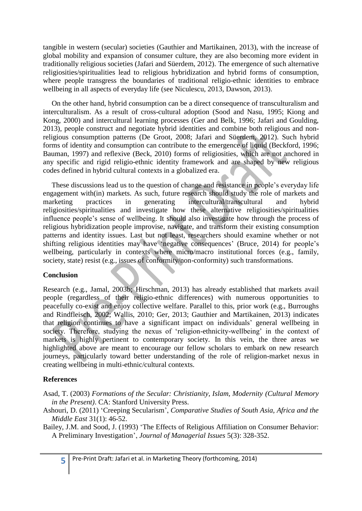tangible in western (secular) societies (Gauthier and Martikainen, 2013), with the increase of global mobility and expansion of consumer culture, they are also becoming more evident in traditionally religious societies (Jafari and Süerdem, 2012). The emergence of such alternative religiosities/spiritualities lead to religious hybridization and hybrid forms of consumption, where people transgress the boundaries of traditional religio-ethnic identities to embrace wellbeing in all aspects of everyday life (see Niculescu, 2013, Dawson, 2013).

On the other hand, hybrid consumption can be a direct consequence of transculturalism and interculturalism. As a result of cross-cultural adoption (Sood and Nasu, 1995; Kiong and Kong, 2000) and intercultural learning processes (Ger and Belk, 1996; Jafari and Goulding, 2013), people construct and negotiate hybrid identities and combine both religious and nonreligious consumption patterns (De Groot, 2008; Jafari and Süerdem, 2012). Such hybrid forms of identity and consumption can contribute to the emergence of liquid (Beckford, 1996; Bauman, 1997) and reflexive (Beck, 2010) forms of religiosities, which are not anchored in any specific and rigid religio-ethnic identity framework and are shaped by new religious codes defined in hybrid cultural contexts in a globalized era.

These discussions lead us to the question of change and resistance in people's everyday life engagement with(in) markets. As such, future research should study the role of markets and marketing practices in generating intercultural/transcultural and hybrid religiosities/spiritualities and investigate how these alternative religiosities/spiritualities influence people's sense of wellbeing. It should also investigate how through the process of religious hybridization people improvise, navigate, and transform their existing consumption patterns and identity issues. Last but not least, researchers should examine whether or not shifting religious identities may have 'negative consequences' (Bruce, 2014) for people's wellbeing, particularly in contexts where micro/macro institutional forces (e.g., family, society, state) resist (e.g., issues of conformity/non-conformity) such transformations.

### **Conclusion**

Research (e.g., Jamal, 2003b; Hirschman, 2013) has already established that markets avail people (regardless of their religio-ethnic differences) with numerous opportunities to peacefully co-exist and enjoy collective welfare. Parallel to this, prior work (e.g., Burroughs and Rindfleisch, 2002; Wallis, 2010; Ger, 2013; Gauthier and Martikainen, 2013) indicates that religion continues to have a significant impact on individuals' general wellbeing in society. Therefore, studying the nexus of 'religion-ethnicity-wellbeing' in the context of markets is highly pertinent to contemporary society. In this vein, the three areas we highlighted above are meant to encourage our fellow scholars to embark on new research journeys, particularly toward better understanding of the role of religion-market nexus in creating wellbeing in multi-ethnic/cultural contexts.

### **References**

- Asad, T. (2003) *Formations of the Secular: Christianity, Islam, Modernity (Cultural Memory in the Present)*. CA: Stanford University Press.
- Ashouri, D. (2011) 'Creeping Secularism', *Comparative Studies of South Asia, Africa and the Middle East* 31(1): 46-52.
- Bailey, J.M. and Sood, J. (1993) 'The Effects of Religious Affiliation on Consumer Behavior: A Preliminary Investigation', *Journal of Managerial Issues* 5(3): 328-352.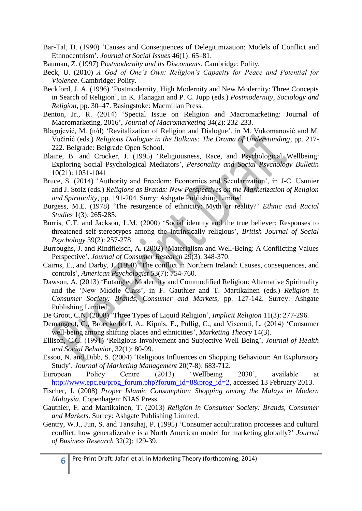- Bar-Tal, D. (1990) 'Causes and Consequences of Delegitimization: Models of Conflict and Ethnocentrism', *Journal of Social Issues* 46(1): 65–81.
- Bauman, Z. (1997) *Postmodernity and its Discontents*. Cambridge: Polity.
- Beck, U. (2010) *A God of One's Own: Religion's Capacity for Peace and Potential for Violence*. Cambridge: Polity.
- Beckford, J. A. (1996) 'Postmodernity, High Modernity and New Modernity: Three Concepts in Search of Religion', in K. Flanagan and P. C. Jupp (eds.) *Postmodernity, Sociology and Religion*, pp. 30–47. Basingstoke: Macmillan Press.
- Benton, Jr., R. (2014) 'Special Issue on Religion and Macromarketing: Journal of Macromarketing, 2016', *Journal of Macromarketing* 34(2): 232-233.
- Blagojević, M. (n/d) 'Revitalization of Religion and Dialogue', in M. Vukomanović and M. Vučinić (eds.) *Religious Dialogue in the Balkans: The Drama of Understanding*, pp. 217- 222. Belgrade: Belgrade Open School.
- Blaine, B. and Crocker, J. (1995) 'Religiousness, Race, and Psychological Wellbeing: Exploring Social Psychological Mediators', *Personality and Social Psychology Bulletin* 10(21): 1031-1041
- Bruce, S. (2014) 'Authority and Freedom: Economics and Secularization', in J-C. Usunier and J. Stolz (eds.) *Religions as Brands: New Perspectives on the Marketization of Religion and Spirituality*, pp. 191-204. Surry: Ashgate Publishing Limited.
- Burgess, M.E. (1978) 'The resurgence of ethnicity: Myth or reality?' *Ethnic and Racial Studies* 1(3): 265-285.
- Burris, C.T. and Jackson, L.M. (2000) 'Social identity and the true believer: Responses to threatened self-stereotypes among the intrinsically religious', *British Journal of Social Psychology* 39(2): 257-278
- Burroughs, J. and Rindfleisch, A. (2002) 'Materialism and Well‐Being: A Conflicting Values Perspective', *Journal of Consumer Research* 29(3): 348-370.
- Cairns, E., and Darby, J. (1998) 'The conflict in Northern Ireland: Causes, consequences, and controls', *American Psychologist* 53(7): 754-760.
- Dawson, A. (2013) 'Entangled Modernity and Commodified Religion: Alternative Spirituality and the 'New Middle Class', in F. Gauthier and T. Martikainen (eds.) *Religion in Consumer Society: Brands, Consumer and Markets,* pp. 127-142. Surrey: Ashgate Publishing Limited.
- De Groot, C.N. (2008) 'Three Types of Liquid Religion', *Implicit Religion* 11(3): 277-296.
- Demangeot, C., Broeckerhoff, A., Kipnis, E., Pullig, C., and Visconti, L. (2014) 'Consumer well-being among shifting places and ethnicities', *Marketing Theory* 14(3).
- Ellison, C.G. (1991) 'Religious Involvement and Subjective Well-Being', *Journal of Health and Social Behavior*, 32(1): 80-99.
- Essoo, N. and Dibb, S. (2004) 'Religious Influences on Shopping Behaviour: An Exploratory Study', *Journal of Marketing Management* 20(7-8): 683-712.
- European Policy Centre (2013) 'Wellbeing 2030', available at [http://www.epc.eu/prog\\_forum.php?forum\\_id=8&prog\\_id=2,](http://www.epc.eu/prog_forum.php?forum_id=8&prog_id=2) accessed 13 February 2013.
- Fischer, J. (2008) *Proper Islamic Consumption: Shopping among the Malays in Modern Malaysia*. Copenhagen: NIAS Press.
- Gauthier, F. and Martikainen, T. (2013) *Religion in Consumer Society: Brands, Consumer and Markets*. Surrey: Ashgate Publishing Limited.
- Gentry, W.J., Jun, S. and Tansuhaj, P. (1995) 'Consumer acculturation processes and cultural conflict: how generalizeable is a North American model for marketing globally?' *Journal of Business Research* 32(2): 129-39.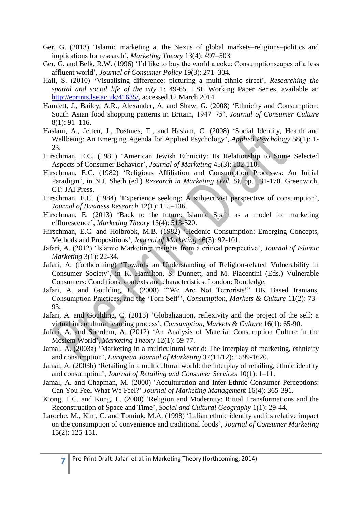- Ger, G. (2013) 'Islamic marketing at the Nexus of global markets–religions–politics and implications for research', *Marketing Theory* 13(4): 497–503.
- Ger, G. and Belk, R.W. (1996) 'I'd like to buy the world a coke: Consumptionscapes of a less affluent world', *Journal of Consumer Policy* 19(3): 271–304.
- Hall, S. (2010) 'Visualising difference: picturing a multi-ethnic street', *Researching the spatial and social life of the city* 1: 49-65. LSE Working Paper Series, available at: [http://eprints.lse.ac.uk/41635/,](http://eprints.lse.ac.uk/41635/) accessed 12 March 2014.
- Hamlett, J., Bailey, A.R., Alexander, A. and Shaw, G. (2008) 'Ethnicity and Consumption: South Asian food shopping patterns in Britain, 1947−75', *Journal of Consumer Culture* 8(1): 91–116.
- Haslam, A., Jetten, J., Postmes, T., and Haslam, C. (2008) 'Social Identity, Health and Wellbeing: An Emerging Agenda for Applied Psychology', *Applied Psychology* 58(1): 1- 23.
- Hirschman, E.C. (1981) 'American Jewish Ethnicity: Its Relationship to Some Selected Aspects of Consumer Behavior', *Journal of Marketing* 45(3): 102-110.
- Hirschman, E.C. (1982) 'Religious Affiliation and Consumption Processes: An Initial Paradigm', in N.J. Sheth (ed.) *Research in Marketing (Vol. 6),* pp. 131-170. Greenwich, CT: JAI Press.
- Hirschman, E.C. (1984) 'Experience seeking: A subjectivist perspective of consumption', *Journal of Business Research* 12(1): 115–136.
- Hirschman, E. (2013) 'Back to the future: Islamic Spain as a model for marketing efflorescence', *Marketing Theory* 13(4): 513-520.
- Hirschman, E.C. and Holbrook, M.B. (1982) 'Hedonic Consumption: Emerging Concepts, Methods and Propositions', *Journal of Marketing* 46(3): 92-101.
- Jafari, A. (2012) 'Islamic Marketing: insights from a critical perspective', *Journal of Islamic Marketing* 3(1): 22-34.
- Jafari, A. (forthcoming) 'Towards an Understanding of Religion-related Vulnerability in Consumer Society', in K. Hamilton, S. Dunnett, and M. Piacentini (Eds.) Vulnerable Consumers: Conditions, contexts and characteristics. London: Routledge.
- Jafari, A. and Goulding, C. (2008) '"We Are Not Terrorists!" UK Based Iranians, Consumption Practices, and the 'Torn Self'', *Consumption, Markets & Culture* 11(2): 73– 93.
- Jafari, A. and Goulding, C. (2013) 'Globalization, reflexivity and the project of the self: a virtual intercultural learning process', *Consumption, Markets & Culture* 16(1): 65-90.
- Jafari, A. and Süerdem, A. (2012) 'An Analysis of Material Consumption Culture in the Moslem World', *Marketing Theory* 12(1): 59-77.
- Jamal, A. (2003a) 'Marketing in a multicultural world: The interplay of marketing, ethnicity and consumption', *European Journal of Marketing* 37(11/12): 1599-1620.
- Jamal, A. (2003b) 'Retailing in a multicultural world: the interplay of retailing, ethnic identity and consumption', *Journal of Retailing and Consumer Services* 10(1): 1–11.
- Jamal, A. and Chapman, M. (2000) 'Acculturation and Inter-Ethnic Consumer Perceptions: Can You Feel What We Feel?' *Journal of Marketing Management* 16(4): 365-391.
- Kiong, T.C. and Kong, L. (2000) 'Religion and Modernity: Ritual Transformations and the Reconstruction of Space and Time', *Social and Cultural Geography* 1(1): 29-44.
- Laroche, M., Kim, C. and Tomiuk, M.A. (1998) 'Italian ethnic identity and its relative impact on the consumption of convenience and traditional foods', *Journal of Consumer Marketing* 15(2): 125-151.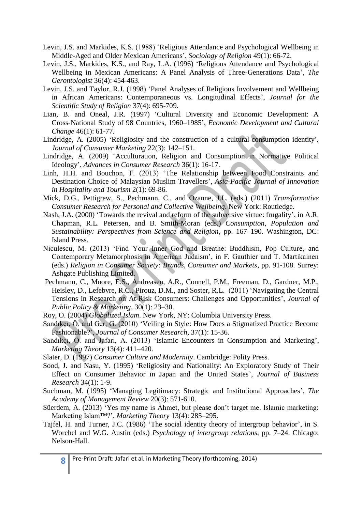- Levin, J.S. and Markides, K.S. (1988) 'Religious Attendance and Psychological Wellbeing in Middle-Aged and Older Mexican Americans', *Sociology of Religion* 49(1): 66-72.
- Levin, J.S., Markides, K.S., and Ray, L.A. (1996) 'Religious Attendance and Psychological Wellbeing in Mexican Americans: A Panel Analysis of Three-Generations Data', *The Gerontologist* 36(4): 454-463.
- Levin, J.S. and Taylor, R.J. (1998) 'Panel Analyses of Religious Involvement and Wellbeing in African Americans: Contemporaneous vs. Longitudinal Effects', *Journal for the Scientific Study of Religion* 37(4): 695-709.
- Lian, B. and Oneal, J.R. (1997) 'Cultural Diversity and Economic Development: A Cross‐National Study of 98 Countries, 1960–1985', *Economic Development and Cultural Change* 46(1): 61-77.
- Lindridge, A. (2005) 'Religiosity and the construction of a cultural-consumption identity', *Journal of Consumer Marketing* 22(3): 142–151.
- Lindridge, A. (2009) 'Acculturation, Religion and Consumption in Normative Political Ideology', *Advances in Consumer Research* 36(1): 16-17.
- Linh, H.H. and Bouchon, F. (2013) 'The Relationship between Food Constraints and Destination Choice of Malaysian Muslim Travellers', *Asia-Pacific Journal of Innovation in Hospitality and Tourism* 2(1): 69-86.
- Mick, D.G., Pettigrew, S., Pechmann, C., and Ozanne, J.L. (eds.) (2011) *Transformative Consumer Research for Personal and Collective Wellbeing*. New York: Routledge.
- Nash, J.A. (2000) 'Towards the revival and reform of the subversive virtue: frugality', in A.R. Chapman, R.L. Petersen, and B. Smith-Moran (eds.) *Consumption, Population and Sustainability: Perspectives from Science and Religion*, pp. 167–190. Washington, DC: Island Press.
- Niculescu, M. (2013) 'Find Your Inner God and Breathe: Buddhism, Pop Culture, and Contemporary Metamorphosis in American Judaism', in F. Gauthier and T. Martikainen (eds.) *Religion in Consumer Society: Brands, Consumer and Markets,* pp. 91-108. Surrey: Ashgate Publishing Limited.
- Pechmann, C., Moore, E.S., Andreasen, A.R., Connell, P.M., Freeman, D., Gardner, M.P., Heisley, D., Lefebvre, R.C., Pirouz, D.M., and Soster, R.L. (2011) 'Navigating the Central Tensions in Research on At-Risk Consumers: Challenges and Opportunities', *Journal of Public Policy & Marketing*, 30(1): 23–30.
- Roy, O. (2004) *Globalized Islam*. New York, NY: Columbia University Press.
- Sandıkçı, Ö. and Ger, G. (2010) 'Veiling in Style: How Does a Stigmatized Practice Become Fashionable?', *Journal of Consumer Research*, 37(1): 15-36.
- Sandıkçı, Ö. and Jafari, A. (2013) 'Islamic Encounters in Consumption and Marketing', *Marketing Theory* 13(4): 411–420.
- Slater, D. (1997) *Consumer Culture and Modernity*. Cambridge: Polity Press.
- Sood, J. and Nasu, Y. (1995) 'Religiosity and Nationality: An Exploratory Study of Their Effect on Consumer Behavior in Japan and the United States', *Journal of Business Research* 34(1): 1-9.
- Suchman, M. (1995) 'Managing Legitimacy: Strategic and Institutional Approaches', *The Academy of Management Review* 20(3): 571-610.
- Süerdem, A. (2013) 'Yes my name is Ahmet, but please don't target me. Islamic marketing: Marketing Islam™?', *Marketing Theory* 13(4): 285–295.
- Tajfel, H. and Turner, J.C. (1986) 'The social identity theory of intergroup behavior', in S. Worchel and W.G. Austin (eds.) *Psychology of intergroup relations*, pp. 7–24. Chicago: Nelson-Hall.